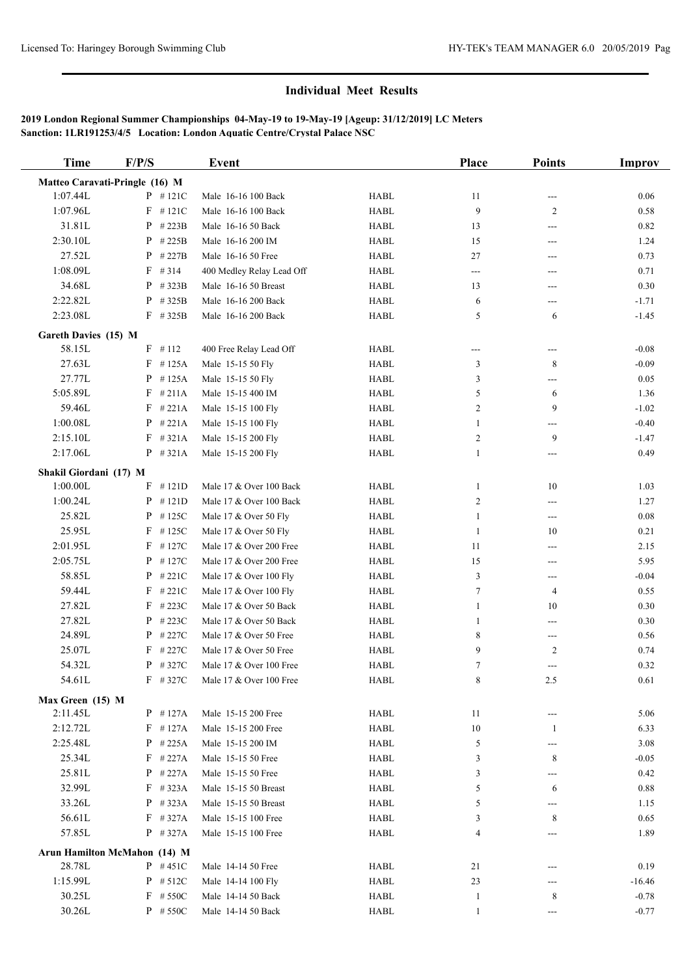# **Individual Meet Results**

# **2019 London Regional Summer Championships 04-May-19 to 19-May-19 [Ageup: 31/12/2019] LC Meters Sanction: 1LR191253/4/5 Location: London Aquatic Centre/Crystal Palace NSC**

| <b>Time</b>            | F/P/S                          | Event                     |             | <b>Place</b>   | <b>Points</b>              | <b>Improv</b> |
|------------------------|--------------------------------|---------------------------|-------------|----------------|----------------------------|---------------|
|                        | Matteo Caravati-Pringle (16) M |                           |             |                |                            |               |
| 1:07.44L               | $P$ #121C                      | Male 16-16 100 Back       | <b>HABL</b> | 11             | $\qquad \qquad \text{---}$ | 0.06          |
| 1:07.96L               | $F$ #121C                      | Male 16-16 100 Back       | <b>HABL</b> | 9              | $\overline{c}$             | 0.58          |
| 31.81L                 | $P$ # 223B                     | Male 16-16 50 Back        | <b>HABL</b> | 13             | ---                        | 0.82          |
| 2:30.10L               | P<br>#225B                     | Male 16-16 200 IM         | <b>HABL</b> | 15             | $---$                      | 1.24          |
| 27.52L                 | $P$ # 227B                     | Male 16-16 50 Free        | <b>HABL</b> | 27             | ---                        | 0.73          |
| 1:08.09L               | $F$ # 314                      | 400 Medley Relay Lead Off | <b>HABL</b> | $\sim$ $\sim$  | ---                        | 0.71          |
| 34.68L                 | $P$ # 323B                     | Male 16-16 50 Breast      | <b>HABL</b> | 13             | ---                        | 0.30          |
| 2:22.82L               | $P$ # 325B                     | Male 16-16 200 Back       | <b>HABL</b> | 6              | ---                        | $-1.71$       |
| 2:23.08L               | $F$ #325B                      | Male 16-16 200 Back       | <b>HABL</b> | 5              | 6                          | $-1.45$       |
| Gareth Davies (15) M   |                                |                           |             |                |                            |               |
| 58.15L                 | $F$ #112                       | 400 Free Relay Lead Off   | <b>HABL</b> | ---            | ---                        | $-0.08$       |
| 27.63L                 | $F$ #125A                      | Male 15-15 50 Fly         | <b>HABL</b> | 3              | 8                          | $-0.09$       |
| 27.77L                 | $P$ #125A                      | Male 15-15 50 Fly         | <b>HABL</b> | 3              | ---                        | 0.05          |
| 5:05.89L               | $F$ #211A                      | Male 15-15 400 IM         | <b>HABL</b> | 5              | 6                          | 1.36          |
| 59.46L                 | $F$ #221A                      | Male 15-15 100 Fly        | <b>HABL</b> | 2              | 9                          | $-1.02$       |
| 1:00.08L               | $P$ #221A                      | Male 15-15 100 Fly        | <b>HABL</b> | $\mathbf{1}$   | ---                        | $-0.40$       |
| 2:15.10L               | $F$ #321A                      | Male 15-15 200 Fly        | <b>HABL</b> | $\overline{c}$ | 9                          | $-1.47$       |
| 2:17.06L               | $P$ #321A                      | Male 15-15 200 Fly        | <b>HABL</b> | $\mathbf{1}$   | $---$                      | 0.49          |
| Shakil Giordani (17) M |                                |                           |             |                |                            |               |
| 1:00.00L               | $F$ #121D                      | Male 17 & Over 100 Back   | <b>HABL</b> | 1              | $10\,$                     | 1.03          |
| 1:00.24L               | $P$ #121D                      | Male 17 & Over 100 Back   | <b>HABL</b> | $\overline{c}$ | $---$                      | 1.27          |
| 25.82L                 | $P$ #125C                      | Male 17 & Over 50 Fly     | <b>HABL</b> | $\mathbf{1}$   | $---$                      | 0.08          |
| 25.95L                 | $F$ #125C                      | Male 17 & Over 50 Fly     | <b>HABL</b> | $\mathbf{1}$   | 10                         | 0.21          |
| 2:01.95L               | $F$ #127C                      | Male 17 & Over 200 Free   | <b>HABL</b> | 11             | $\qquad \qquad \text{---}$ | 2.15          |
| 2:05.75L               | $P$ #127C                      | Male 17 & Over 200 Free   | <b>HABL</b> | 15             | ---                        | 5.95          |
| 58.85L                 | $P$ # 221C                     | Male 17 & Over 100 Fly    | <b>HABL</b> | 3              | $---$                      | $-0.04$       |
| 59.44L                 | $F$ #221C                      | Male 17 & Over 100 Fly    | <b>HABL</b> | $\tau$         | $\overline{4}$             | 0.55          |
| 27.82L                 | $F$ #223C                      | Male 17 & Over 50 Back    | <b>HABL</b> | $\mathbf{1}$   | 10                         | 0.30          |
| 27.82L                 | $P$ # 223C                     | Male 17 & Over 50 Back    | <b>HABL</b> | 1              | ---                        | 0.30          |
| 24.89L                 | $P$ # 227C                     | Male 17 & Over 50 Free    | <b>HABL</b> | 8              | ---                        | 0.56          |
| 25.07L                 | $F$ #227C                      | Male 17 & Over 50 Free    | <b>HABL</b> | 9              | $\overline{c}$             | 0.74          |
| 54.32L                 | $P$ # 327C                     | Male 17 & Over 100 Free   | <b>HABL</b> | $\tau$         | ---                        | 0.32          |
| 54.61L                 | $F$ # 327C                     | Male 17 & Over 100 Free   | HABL        | 8              | 2.5                        | 0.61          |
| Max Green (15) M       |                                |                           |             |                |                            |               |
| 2:11.45L               | $P$ #127A                      | Male 15-15 200 Free       | <b>HABL</b> | 11             | $\qquad \qquad \text{---}$ | 5.06          |
| 2:12.72L               | $F$ #127A                      | Male 15-15 200 Free       | HABL        | $10\,$         | $\mathbf{1}$               | 6.33          |
| 2:25.48L               | $P$ #225A                      | Male 15-15 200 IM         | HABL        | 5              | ---                        | 3.08          |
| 25.34L                 | $F$ #227A                      | Male 15-15 50 Free        | HABL        | 3              | 8                          | $-0.05$       |
| 25.81L                 | $P$ #227A                      | Male 15-15 50 Free        | HABL        | 3              | ---                        | 0.42          |
| 32.99L                 | $F$ #323A                      | Male 15-15 50 Breast      | HABL        | 5              | 6                          | 0.88          |
| 33.26L                 | $P$ #323A                      | Male 15-15 50 Breast      | HABL        | 5              | ---                        | 1.15          |
| 56.61L                 | $F$ #327A                      | Male 15-15 100 Free       | HABL        | 3              | 8                          | 0.65          |
| 57.85L                 | $P$ # 327A                     | Male 15-15 100 Free       | <b>HABL</b> | 4              | ---                        | 1.89          |
|                        | Arun Hamilton McMahon (14) M   |                           |             |                |                            |               |
| 28.78L                 | $P$ #451C                      | Male 14-14 50 Free        | HABL        | 21             |                            | 0.19          |
| 1:15.99L               | $P$ # 512C                     | Male 14-14 100 Fly        | HABL        | 23             | ---                        | $-16.46$      |
| 30.25L                 | $F$ # 550C                     | Male 14-14 50 Back        | HABL        | $\mathbf{1}$   | 8                          | $-0.78$       |
| 30.26L                 | $P$ # 550C                     | Male 14-14 50 Back        | HABL        | $\mathbf{1}$   | ---                        | $-0.77$       |
|                        |                                |                           |             |                |                            |               |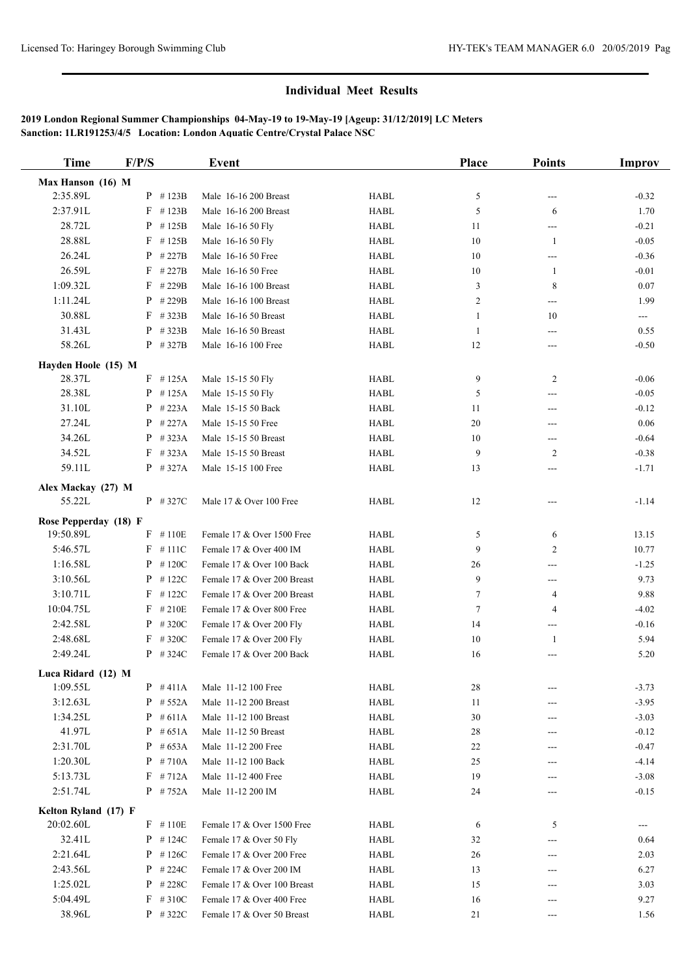# **Individual Meet Results**

# **2019 London Regional Summer Championships 04-May-19 to 19-May-19 [Ageup: 31/12/2019] LC Meters Sanction: 1LR191253/4/5 Location: London Aquatic Centre/Crystal Palace NSC**

| <b>Time</b>           | F/P/S      | <b>Event</b>                |             | Place          | <b>Points</b>              | Improv                  |
|-----------------------|------------|-----------------------------|-------------|----------------|----------------------------|-------------------------|
| Max Hanson (16) M     |            |                             |             |                |                            |                         |
| 2:35.89L              | $P$ #123B  | Male 16-16 200 Breast       | <b>HABL</b> | 5              | $\qquad \qquad \text{---}$ | $-0.32$                 |
| 2:37.91L              | $F$ #123B  | Male 16-16 200 Breast       | <b>HABL</b> | 5              | 6                          | 1.70                    |
| 28.72L                | $P$ #125B  | Male 16-16 50 Fly           | <b>HABL</b> | 11             | ---                        | $-0.21$                 |
| 28.88L                | $F$ #125B  | Male 16-16 50 Fly           | <b>HABL</b> | 10             | $\mathbf{1}$               | $-0.05$                 |
| 26.24L                | $P$ # 227B | Male 16-16 50 Free          | <b>HABL</b> | 10             | ---                        | $-0.36$                 |
| 26.59L                | $F$ # 227B | Male 16-16 50 Free          | <b>HABL</b> | 10             | $\mathbf{1}$               | $-0.01$                 |
| 1:09.32L              | $F$ #229B  | Male 16-16 100 Breast       | <b>HABL</b> | 3              | 8                          | 0.07                    |
| 1:11.24L              | $P$ # 229B | Male 16-16 100 Breast       | <b>HABL</b> | $\overline{c}$ | $---$                      | 1.99                    |
| 30.88L                | $F$ # 323B | Male 16-16 50 Breast        | <b>HABL</b> | 1              | 10                         | $\qquad \qquad -\qquad$ |
| 31.43L                | $P$ # 323B | Male 16-16 50 Breast        | <b>HABL</b> | 1              | ---                        | 0.55                    |
| 58.26L                | $P$ # 327B | Male 16-16 100 Free         | <b>HABL</b> | 12             | ---                        | $-0.50$                 |
| Hayden Hoole (15) M   |            |                             |             |                |                            |                         |
| 28.37L                | $F$ #125A  | Male 15-15 50 Fly           | <b>HABL</b> | 9              | $\overline{c}$             | $-0.06$                 |
| 28.38L                | $P$ #125A  | Male 15-15 50 Fly           | <b>HABL</b> | 5              | ---                        | $-0.05$                 |
| 31.10L                | $P$ #223A  | Male 15-15 50 Back          | <b>HABL</b> | 11             | ---                        | $-0.12$                 |
| 27.24L                | $P$ #227A  | Male 15-15 50 Free          | <b>HABL</b> | 20             | $---$                      | 0.06                    |
| 34.26L                | $P$ #323A  | Male 15-15 50 Breast        | <b>HABL</b> | 10             | ---                        | $-0.64$                 |
| 34.52L                | $F$ #323A  | Male 15-15 50 Breast        | <b>HABL</b> | 9              | 2                          | $-0.38$                 |
| 59.11L                | $P$ #327A  | Male 15-15 100 Free         | <b>HABL</b> | 13             | ---                        | $-1.71$                 |
|                       |            |                             |             |                |                            |                         |
| Alex Mackay (27) M    |            |                             |             |                |                            |                         |
| 55.22L                | $P$ # 327C | Male 17 & Over 100 Free     | <b>HABL</b> | 12             |                            | $-1.14$                 |
| Rose Pepperday (18) F |            |                             |             |                |                            |                         |
| 19:50.89L             | $F$ #110E  | Female 17 & Over 1500 Free  | <b>HABL</b> | 5              | 6                          | 13.15                   |
| 5:46.57L              | $F$ #111C  | Female 17 & Over 400 IM     | <b>HABL</b> | 9              | 2                          | 10.77                   |
| 1:16.58L              | $P$ #120C  | Female 17 & Over 100 Back   | <b>HABL</b> | 26             | $---$                      | $-1.25$                 |
| 3:10.56L              | $P$ #122C  | Female 17 & Over 200 Breast | <b>HABL</b> | 9              | ---                        | 9.73                    |
| 3:10.71L              | $F$ #122C  | Female 17 & Over 200 Breast | <b>HABL</b> | $\tau$         | 4                          | 9.88                    |
| 10:04.75L             | $F$ #210E  | Female 17 & Over 800 Free   | <b>HABL</b> | $\tau$         | $\overline{4}$             | $-4.02$                 |
| 2:42.58L              | $P$ # 320C | Female 17 & Over 200 Fly    | <b>HABL</b> | 14             | ---                        | $-0.16$                 |
| 2:48.68L              | $F$ #320C  | Female 17 & Over 200 Fly    | <b>HABL</b> | 10             | $\mathbf{1}$               | 5.94                    |
| 2:49.24L              | $P$ # 324C | Female 17 & Over 200 Back   | <b>HABL</b> | 16             |                            | 5.20                    |
| Luca Ridard (12) M    |            |                             |             |                |                            |                         |
| 1:09.55L              | $P$ #411A  | Male 11-12 100 Free         | <b>HABL</b> | 28             |                            | $-3.73$                 |
| 3:12.63L              | $P$ # 552A | Male 11-12 200 Breast       | HABL        | 11             |                            | $-3.95$                 |
| 1:34.25L              | $P$ #611A  | Male 11-12 100 Breast       | HABL        | 30             | ---                        | $-3.03$                 |
| 41.97L                | $P$ #651A  | Male 11-12 50 Breast        | <b>HABL</b> | 28             | ---                        | $-0.12$                 |
| 2:31.70L              | $P$ #653A  | Male 11-12 200 Free         | HABL        | 22             | ---                        | $-0.47$                 |
| 1:20.30L              | $P$ #710A  | Male 11-12 100 Back         | HABL        | 25             | ---                        | $-4.14$                 |
| 5:13.73L              | $F$ #712A  | Male 11-12 400 Free         | <b>HABL</b> | 19             |                            | $-3.08$                 |
| 2:51.74L              | $P$ # 752A | Male 11-12 200 IM           | <b>HABL</b> | 24             | ---                        | $-0.15$                 |
| Kelton Ryland (17) F  |            |                             |             |                |                            |                         |
| 20:02.60L             | $F$ #110E  | Female 17 & Over 1500 Free  | HABL        | 6              | 5                          |                         |
| 32.41L                | $P$ # 124C | Female 17 & Over 50 Fly     | HABL        | 32             | ---                        | 0.64                    |
| 2:21.64L              | $P$ #126C  | Female 17 & Over 200 Free   | HABL        | 26             | ---                        | 2.03                    |
| 2:43.56L              | $P$ # 224C | Female 17 & Over 200 IM     | HABL        | 13             |                            | 6.27                    |
| 1:25.02L              | $P$ # 228C | Female 17 & Over 100 Breast | HABL        | 15             | ---                        | 3.03                    |
| 5:04.49L              | $F$ #310C  | Female 17 & Over 400 Free   | HABL        | 16             | ---                        | 9.27                    |
| 38.96L                | $P$ # 322C | Female 17 & Over 50 Breast  | HABL        | 21             | ---                        | 1.56                    |
|                       |            |                             |             |                |                            |                         |